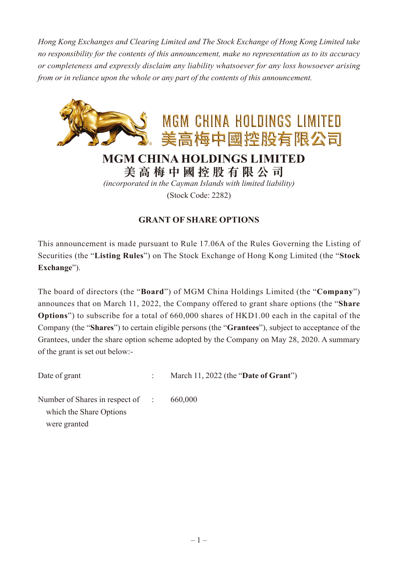*Hong Kong Exchanges and Clearing Limited and The Stock Exchange of Hong Kong Limited take no responsibility for the contents of this announcement, make no representation as to its accuracy or completeness and expressly disclaim any liability whatsoever for any loss howsoever arising from or in reliance upon the whole or any part of the contents of this announcement.*



*(incorporated in the Cayman Islands with limited liability)*

(Stock Code: 2282)

## **GRANT OF SHARE OPTIONS**

This announcement is made pursuant to Rule 17.06A of the Rules Governing the Listing of Securities (the "**Listing Rules**") on The Stock Exchange of Hong Kong Limited (the "**Stock Exchange**").

The board of directors (the "**Board**") of MGM China Holdings Limited (the "**Company**") announces that on March 11, 2022, the Company offered to grant share options (the "**Share Options**") to subscribe for a total of 660,000 shares of HKD1.00 each in the capital of the Company (the "**Shares**") to certain eligible persons (the "**Grantees**"), subject to acceptance of the Grantees, under the share option scheme adopted by the Company on May 28, 2020. A summary of the grant is set out below:-

Date of grant : March 11, 2022 (the "**Date of Grant**")

Number of Shares in respect of : 660,000 which the Share Options were granted